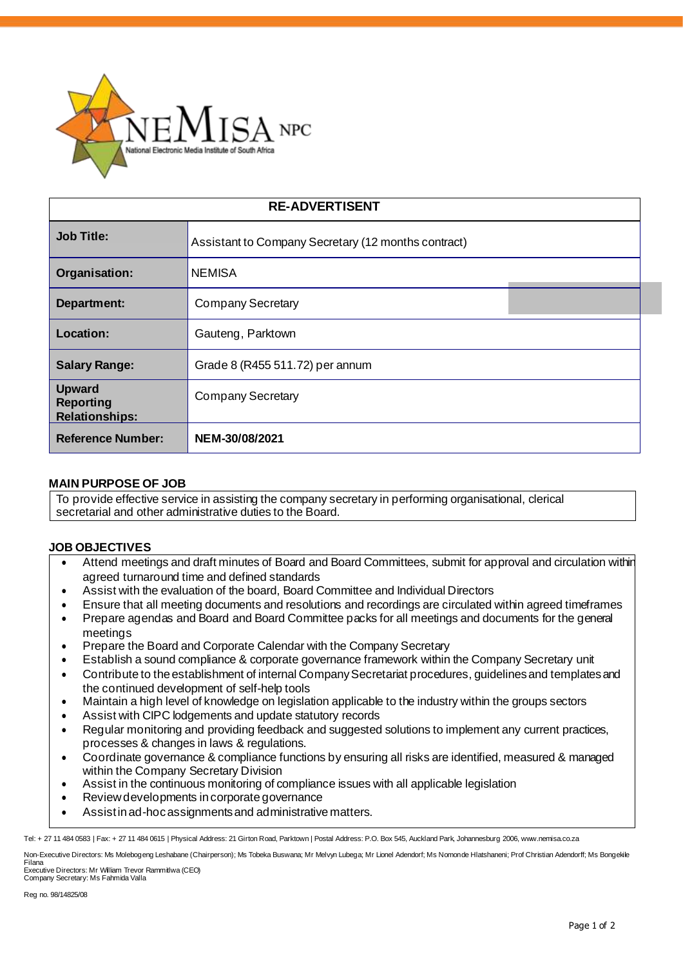

| <b>RE-ADVERTISENT</b>                                      |                                                     |  |
|------------------------------------------------------------|-----------------------------------------------------|--|
| <b>Job Title:</b>                                          | Assistant to Company Secretary (12 months contract) |  |
| Organisation:                                              | <b>NEMISA</b>                                       |  |
| Department:                                                | <b>Company Secretary</b>                            |  |
| Location:                                                  | Gauteng, Parktown                                   |  |
| <b>Salary Range:</b>                                       | Grade 8 (R455 511.72) per annum                     |  |
| <b>Upward</b><br><b>Reporting</b><br><b>Relationships:</b> | <b>Company Secretary</b>                            |  |
| <b>Reference Number:</b>                                   | NEM-30/08/2021                                      |  |

# **MAIN PURPOSE OF JOB**

To provide effective service in assisting the company secretary in performing organisational, clerical secretarial and other administrative duties to the Board.

## **JOB OBJECTIVES**

- Attend meetings and draft minutes of Board and Board Committees, submit for approval and circulation within agreed turnaround time and defined standards
- Assist with the evaluation of the board, Board Committee and Individual Directors
- Ensure that all meeting documents and resolutions and recordings are circulated within agreed timeframes
- Prepare agendas and Board and Board Committee packs for all meetings and documents for the general meetings
- Prepare the Board and Corporate Calendar with the Company Secretary
- Establish a sound compliance & corporate governance framework within the Company Secretary unit
- Contribute to the establishment of internal Company Secretariat procedures, guidelines and templates and the continued development of self-help tools
- Maintain a high level of knowledge on legislation applicable to the industry within the groups sectors
- Assist with CIPC lodgements and update statutory records
- Regular monitoring and providing feedback and suggested solutions to implement any current practices, processes & changes in laws & regulations.
- Coordinate governance & compliance functions by ensuring all risks are identified, measured & managed within the Company Secretary Division
- Assist in the continuous monitoring of compliance issues with all applicable legislation
- Review developments in corporate governance
- Assistin ad-hocassignments and administrative matters.

Tel: + 27 11 484 0583 | Fax: + 27 11 484 0615 | Physical Address: 21 Girton Road, Parktown | Postal Address: P.O. Box 545, Auckland Park, Johannesburg 2006, [www.nemisa.co.za](http://www.nemisa.co.za/)

Non-Executive Directors: Ms Molebogeng Leshabane (Chairperson); Ms Tobeka Buswana; Mr Melvyn Lubega; Mr Lionel Adendorf; Ms Nomonde Hlatshaneni; Prof Christian Adendorff; Ms Bongekile Filana Executive Directors: Mr William Trevor Rammitlwa (CEO)

Company Secretary: Ms Fahmida Valla